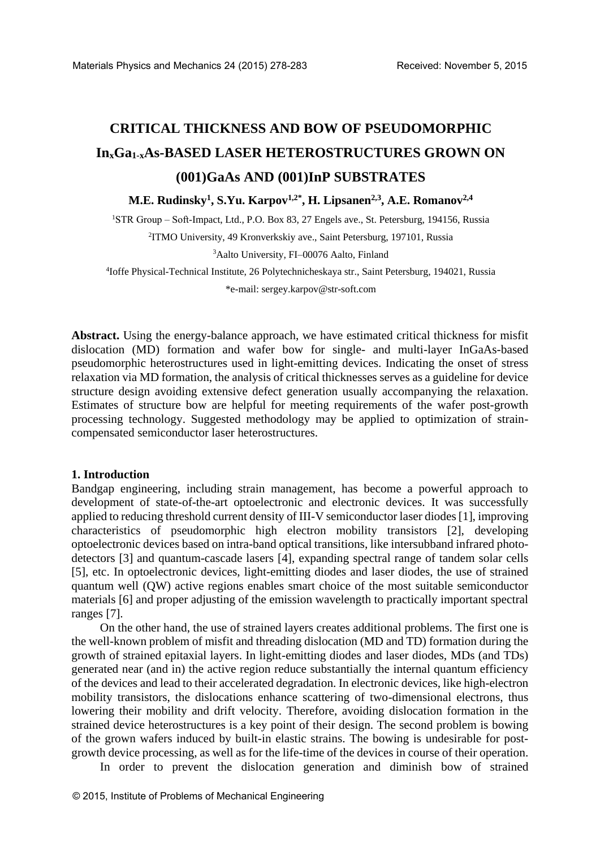# **CRITICAL THICKNESS AND BOW OF PSEUDOMORPHIC InxGa1-xAs-BASED LASER HETEROSTRUCTURES GROWN ON (001)GaAs AND (001)InP SUBSTRATES**

**M.E. Rudinsky<sup>1</sup> , S.Yu. Karpov1,2\*, H. Lipsanen2,3 , A.E. Romanov2,4** 

<sup>1</sup>STR Group – Soft-Impact, Ltd., P.O. Box 83, 27 Engels ave., St. Petersburg, 194156, Russia 2 ITMO University, 49 Kronverkskiy ave., Saint Petersburg, 197101, Russia

<sup>3</sup>Aalto University, FI–00076 Aalto, Finland

4 Ioffe Physical-Technical Institute, 26 Polytechnicheskaya str., Saint Petersburg, 194021, Russia

\*e-mail[: sergey.karpov@str-soft.com](mailto:sergey.karpov@str-soft.com)

**Abstract.** Using the energy-balance approach, we have estimated critical thickness for misfit dislocation (MD) formation and wafer bow for single- and multi-layer InGaAs-based pseudomorphic heterostructures used in light-emitting devices. Indicating the onset of stress relaxation via MD formation, the analysis of critical thicknesses serves as a guideline for device structure design avoiding extensive defect generation usually accompanying the relaxation. Estimates of structure bow are helpful for meeting requirements of the wafer post-growth processing technology. Suggested methodology may be applied to optimization of straincompensated semiconductor laser heterostructures.

#### **1. Introduction**

Bandgap engineering, including strain management, has become a powerful approach to development of state-of-the-art optoelectronic and electronic devices. It was successfully applied to reducing threshold current density of III-V semiconductor laser diodes [1], improving characteristics of pseudomorphic high electron mobility transistors [2], developing optoelectronic devices based on intra-band optical transitions, like intersubband infrared photodetectors [3] and quantum-cascade lasers [4], expanding spectral range of tandem solar cells [5], etc. In optoelectronic devices, light-emitting diodes and laser diodes, the use of strained quantum well (QW) active regions enables smart choice of the most suitable semiconductor materials [6] and proper adjusting of the emission wavelength to practically important spectral ranges [7].

On the other hand, the use of strained layers creates additional problems. The first one is the well-known problem of misfit and threading dislocation (MD and TD) formation during the growth of strained epitaxial layers. In light-emitting diodes and laser diodes, MDs (and TDs) generated near (and in) the active region reduce substantially the internal quantum efficiency of the devices and lead to their accelerated degradation. In electronic devices, like high-electron mobility transistors, the dislocations enhance scattering of two-dimensional electrons, thus lowering their mobility and drift velocity. Therefore, avoiding dislocation formation in the strained device heterostructures is a key point of their design. The second problem is bowing of the grown wafers induced by built-in elastic strains. The bowing is undesirable for postgrowth device processing, as well as for the life-time of the devices in course of their operation.

In order to prevent the dislocation generation and diminish bow of strained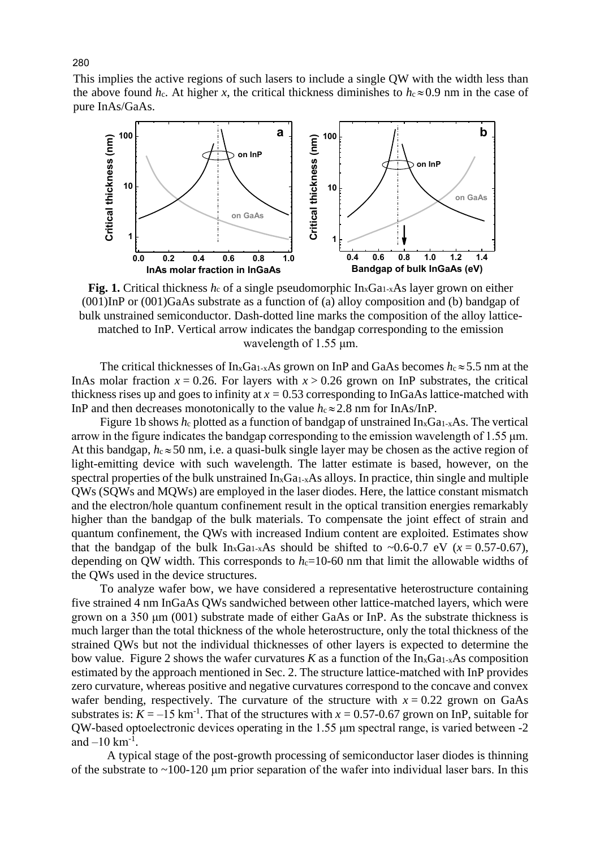This implies the active regions of such lasers to include a single QW with the width less than the above found  $h_c$ . At higher x, the critical thickness diminishes to  $h_c \approx 0.9$  nm in the case of pure InAs/GaAs.



**Fig. 1.** Critical thickness *hc* of a single pseudomorphic In<sub>x</sub>Ga<sub>1-x</sub>A<sub>s</sub> layer grown on either (001)InP or (001)GaAs substrate as a function of (a) alloy composition and (b) bandgap of bulk unstrained semiconductor. Dash-dotted line marks the composition of the alloy latticematched to InP. Vertical arrow indicates the bandgap corresponding to the emission wavelength of 1.55 μm.

The critical thicknesses of  $In_xGa_{1-x}As$  grown on InP and GaAs becomes  $h_c \approx 5.5$  nm at the InAs molar fraction  $x = 0.26$ . For layers with  $x > 0.26$  grown on InP substrates, the critical thickness rises up and goes to infinity at  $x = 0.53$  corresponding to InGaAs lattice-matched with InP and then decreases monotonically to the value  $h_c \approx 2.8$  nm for InAs/InP.

Figure 1b shows  $h_c$  plotted as a function of bandgap of unstrained In<sub>x</sub>Ga<sub>1-x</sub>As. The vertical arrow in the figure indicates the bandgap corresponding to the emission wavelength of 1.55 μm. At this bandgap,  $h_c \approx 50$  nm, i.e. a quasi-bulk single layer may be chosen as the active region of light-emitting device with such wavelength. The latter estimate is based, however, on the spectral properties of the bulk unstrained  $In_xGa_1$ <sub>x</sub>As alloys. In practice, thin single and multiple QWs (SQWs and MQWs) are employed in the laser diodes. Here, the lattice constant mismatch and the electron/hole quantum confinement result in the optical transition energies remarkably higher than the bandgap of the bulk materials. To compensate the joint effect of strain and quantum confinement, the QWs with increased Indium content are exploited. Estimates show that the bandgap of the bulk  $In_xGa_{1-x}As$  should be shifted to ~0.6-0.7 eV ( $x = 0.57$ -0.67), depending on QW width. This corresponds to  $h<sub>c</sub>=10-60$  nm that limit the allowable widths of the QWs used in the device structures.

To analyze wafer bow, we have considered a representative heterostructure containing five strained 4 nm InGaAs QWs sandwiched between other lattice-matched layers, which were grown on a 350 μm (001) substrate made of either GaAs or InP. As the substrate thickness is much larger than the total thickness of the whole heterostructure, only the total thickness of the strained QWs but not the individual thicknesses of other layers is expected to determine the bow value. Figure 2 shows the wafer curvatures *K* as a function of the  $In_xGa<sub>1-x</sub>As composition$ estimated by the approach mentioned in Sec. 2. The structure lattice-matched with InP provides zero curvature, whereas positive and negative curvatures correspond to the concave and convex wafer bending, respectively. The curvature of the structure with  $x = 0.22$  grown on GaAs substrates is:  $K = -15$  km<sup>-1</sup>. That of the structures with  $x = 0.57$ -0.67 grown on InP, suitable for QW-based optoelectronic devices operating in the 1.55 μm spectral range, is varied between -2 and  $-10 \text{ km}^{-1}$ .

A typical stage of the post-growth processing of semiconductor laser diodes is thinning of the substrate to ~100-120 μm prior separation of the wafer into individual laser bars. In this

280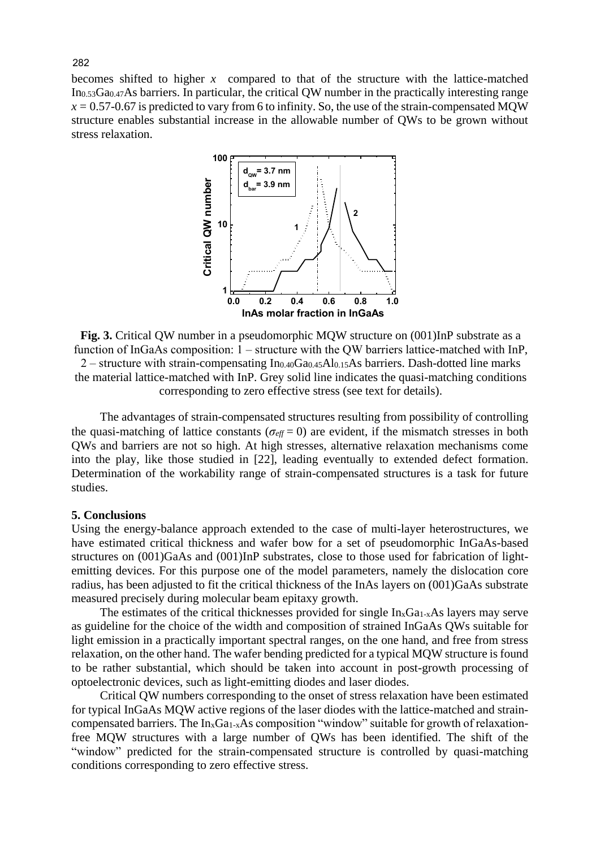becomes shifted to higher *x* compared to that of the structure with the lattice-matched In0.53Ga0.47As barriers. In particular, the critical QW number in the practically interesting range  $x = 0.57$ -0.67 is predicted to vary from 6 to infinity. So, the use of the strain-compensated MOW structure enables substantial increase in the allowable number of QWs to be grown without stress relaxation.



**Fig. 3.** Critical QW number in a pseudomorphic MQW structure on (001)InP substrate as a function of InGaAs composition:  $1 -$  structure with the OW barriers lattice-matched with InP,  $2$  – structure with strain-compensating In<sub>0.40</sub>Ga<sub>0.45</sub>Al<sub>0.15</sub>As barriers. Dash-dotted line marks the material lattice-matched with InP. Grey solid line indicates the quasi-matching conditions corresponding to zero effective stress (see text for details).

The advantages of strain-compensated structures resulting from possibility of controlling the quasi-matching of lattice constants ( $\sigma_{\text{eff}} = 0$ ) are evident, if the mismatch stresses in both QWs and barriers are not so high. At high stresses, alternative relaxation mechanisms come into the play, like those studied in [22], leading eventually to extended defect formation. Determination of the workability range of strain-compensated structures is a task for future studies.

### **5. Conclusions**

Using the energy-balance approach extended to the case of multi-layer heterostructures, we have estimated critical thickness and wafer bow for a set of pseudomorphic InGaAs-based structures on (001)GaAs and (001)InP substrates, close to those used for fabrication of lightemitting devices. For this purpose one of the model parameters, namely the dislocation core radius, has been adjusted to fit the critical thickness of the InAs layers on (001)GaAs substrate measured precisely during molecular beam epitaxy growth.

The estimates of the critical thicknesses provided for single  $In_xGa_{1-x}As$  layers may serve as guideline for the choice of the width and composition of strained InGaAs QWs suitable for light emission in a practically important spectral ranges, on the one hand, and free from stress relaxation, on the other hand. The wafer bending predicted for a typical MQW structure is found to be rather substantial, which should be taken into account in post-growth processing of optoelectronic devices, such as light-emitting diodes and laser diodes.

Critical QW numbers corresponding to the onset of stress relaxation have been estimated for typical InGaAs MQW active regions of the laser diodes with the lattice-matched and straincompensated barriers. The In<sub>x</sub>Ga<sub>1-x</sub>As composition "window" suitable for growth of relaxationfree MQW structures with a large number of QWs has been identified. The shift of the "window" predicted for the strain-compensated structure is controlled by quasi-matching conditions corresponding to zero effective stress.

282